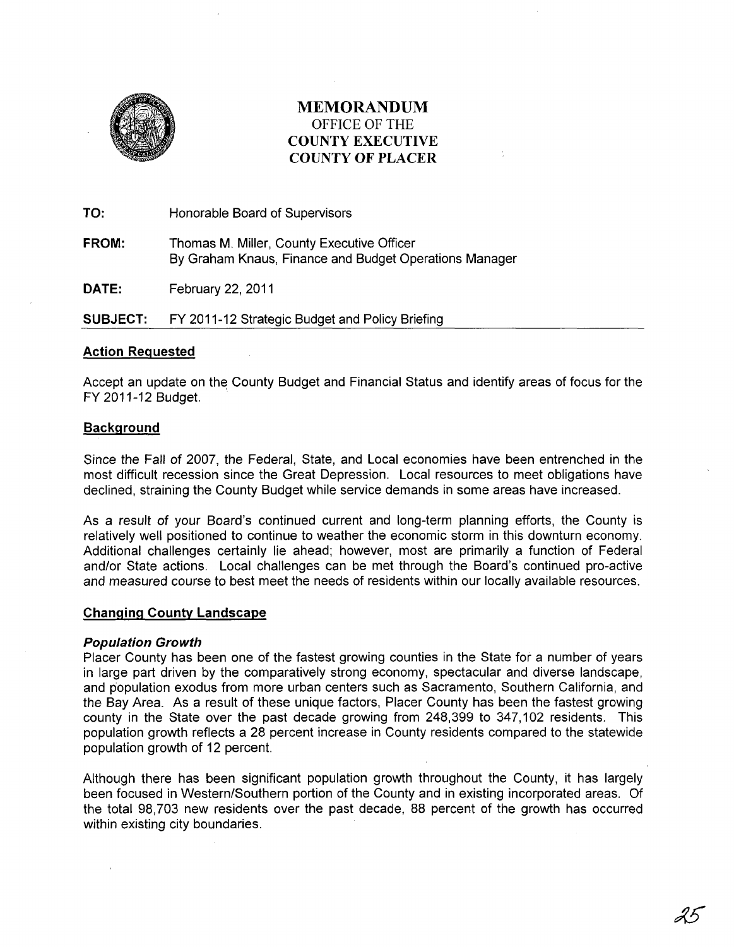

# MEMORANDUM OFFICE OF THE COUNTY EXECUTIVE COUNTY OF PLACER

TO: Honorable Board of Supervisors

FROM: Thomas M. Miller, County Executive Officer By Graham Knaus, Finance and Budget Operations Manager

DATE: February 22, 2011

SUBJECT: FY 2011-12 Strategic Budget and Policy Briefing

### Action Requested

Accept an update on the County Budget and Financial Status and identify areas of focus for the FY 2011-12 Budget.

# **Background**

Since the Fall of 2007, the Federal, State, and Local economies have been entrenched in the most difficult recession since the Great Depression. Local resources to meet obligations have declined, straining the County Budget while service demands in some areas have increased.

As a result of your Board's continued current and long-term planning efforts, the County is relatively well positioned to continue to weather the economic storm in this downturn economy. Additional challenges certainly lie ahead; however, most are primarily a function of Federal and/or State actions. Local challenges can be met through the Board's continued pro-active and measured course to best meet the needs of residents within our locally available resources.

#### Changing County Landscape

#### Population Growth

Placer County has been one of the fastest growing counties in the State for a number of years in large part driven by the comparatively strong economy, spectacular and diverse landscape, and population exodus from more urban centers such as Sacramento, Southern California, and the Bay Area. As a result of these unique factors, Placer County has been the fastest growing county in the State over the past decade growing from 248,399 to 347,102 residents. This population growth reflects a 28 percent increase in County residents compared to the statewide population growth of 12 percent.

Although there has been significant population growth throughout the County, it has largely been focused in Western/Southern portion of the County and in existing incorporated areas. Of the total 98,703 new residents over the past decade, 88 percent of the growth has occurred within existing city boundaries.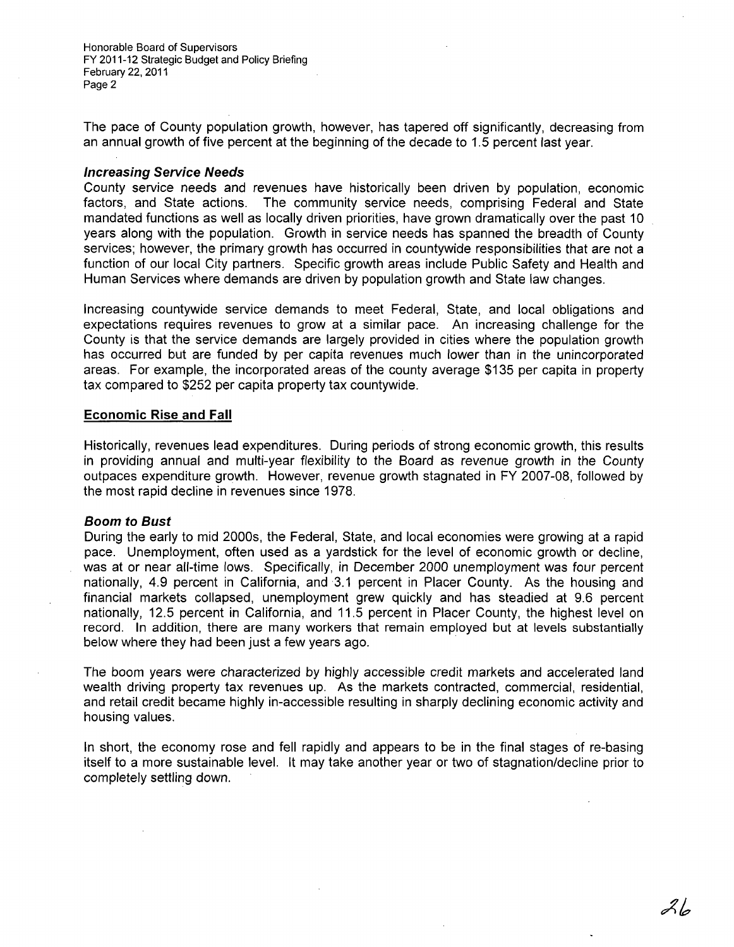The pace of County population growth, however, has tapered off significantly, decreasing from an annual growth of five percent at the beginning of the decade to 1.5 percent last year.

#### **Increasing Service Needs**

County service needs and revenues have historically been driven by population, economic factors, and State actions. The community service needs, comprising Federal and State mandated functions as well as locally driven priorities, have grown dramatically over the past 10 years along with the population. Growth in service needs has spanned the breadth of County services; however, the primary growth has occurred in countywide responsibilities that are not a function of our local City partners. Specific growth areas include Public Safety and Health and Human Services where demands are driven by population growth and State law changes.

Increasing countywide service demands to meet Federal, State, and local obligations and expectations requires revenues to grow at a similar pace. An increasing challenge for the County is that the service demands are largely provided in cities where the population growth has occurred but are funded by per capita revenues much lower than in the unincorporated areas. For example, the incorporated areas of the county average \$135 per capita in property tax compared to \$252 per capita property tax countywide.

#### **Economic Rise and Fall**

Historically, revenues lead expenditures. During periods of strong economic growth, this results in providing annual and multi-year flexibility to the Board as revenue growth in the County outpaces expenditure growth. However, revenue growth stagnated in FY 2007-08, followed by the most rapid decline in revenues since 1978.

#### **Boom to Bust**

During the early to mid 2000s, the Federal, State, and local economies were growing at a rapid pace. Unemployment, often used as a yardstick for the level of economic growth or decline, was at or near all-time lows. Specifically, in December 2000 unemployment was four percent nationally, 4.9 percent in California, and 3.1 percent in Placer County. As the housing and financial markets collapsed, unemployment grew quickly and has steadied at 9.6 percent nationally, 12.5 percent in California, and 11.5 percent in Placer County, the highest level on record. In addition, there are many workers that remain employed but at levels substantially below where they had been just a few years ago. .

The boom years were characterized by highly accessible credit markets and accelerated land wealth driving property tax revenues up. As the markets contracted, commercial, residential, and retail credit became highly in-accessible resulting in sharply declining economic activity and housing values.

In short, the economy rose and fell rapidly and appears to be in the final stages of re-basing itself to a more sustainable level. It may take another year or two of stagnation/decline prior to completely settling down.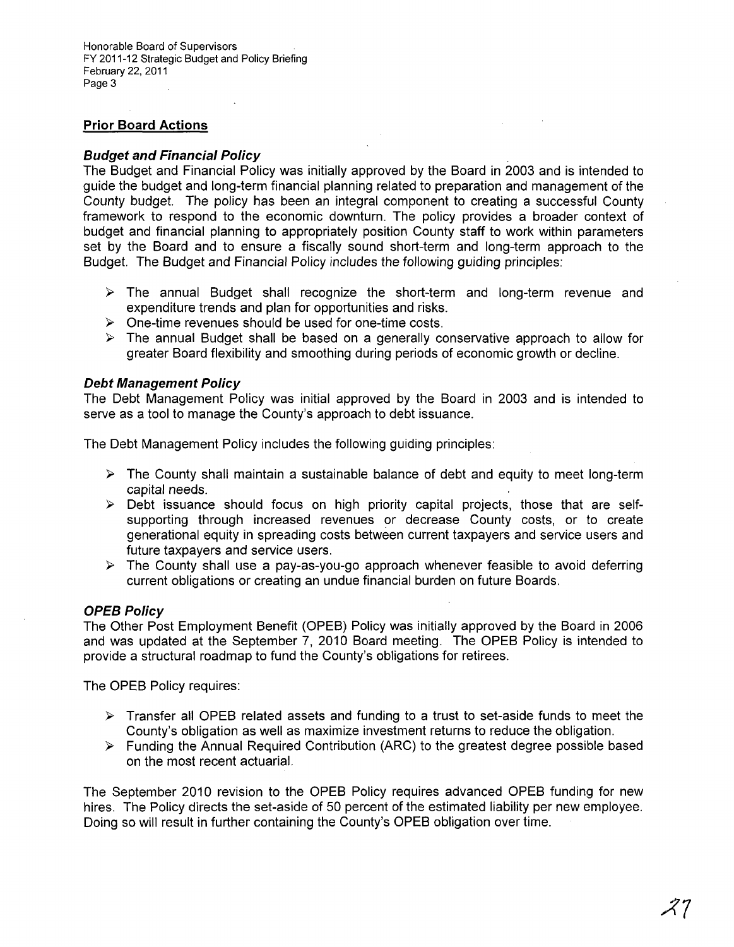# **Prior Board Actions**

## **Budget and Financial Policy**

The Budget and Financial Policy was initially approved by the Board in 2003 and is intended to guide the budget and long-term financial planning related to preparation and management of the County budget. The policy has been an integral component to creating a successful County framework to respond to the economic downturn. The policy provides a broader context of budget and financial planning to appropriately position County staff to work within parameters set by the Board and to ensure a fiscally sound short-term and long-term approach to the Budget. The Budget and Financial Policy includes the following guiding principles:

- $\triangleright$  The annual Budget shall recognize the short-term and long-term revenue and expenditure trends and plan for opportunities and risks.
- $\triangleright$  One-time revenues should be used for one-time costs.
- $\triangleright$  The annual Budget shall be based on a generally conservative approach to allow for greater Board flexibility and smoothing during periods of economic growth or decline.

#### **Debt Management Policy**

The Debt Management Policy was initial approved by the Board in 2003 and is intended to serve as a tool to manage the County's approach to debt issuance.

The Debt Management Policy includes the following guiding principles:

- $\triangleright$  The County shall maintain a sustainable balance of debt and equity to meet long-term capital needs.
- $\triangleright$  Debt issuance should focus on high priority capital projects, those that are selfsupporting through increased revenues or decrease County costs, or to create generational equity in spreading costs between current taxpayers and service users and future taxpayers and service users.
- $\triangleright$  The County shall use a pay-as-you-go approach whenever feasible to avoid deferring current obligations or creating an undue financial burden on future Boards.

# **OPEB Policy**

The Other Post Employment Benefit (OPEB) Policy was initially approved by the Board in 2006 and was updated at the September 7, 2010 Board meeting. The OPEB Policy is intended to provide a structural roadmap to fund the County's obligations for retirees.

The OPEB Policy requires:

- $\triangleright$  Transfer all OPEB related assets and funding to a trust to set-aside funds to meet the County's obligation as well as maximize investment returns to reduce the obligation.
- $\triangleright$  Funding the Annual Required Contribution (ARC) to the greatest degree possible based on the most recent actuarial.

The September 2010 revision to the OPEB Policy requires advanced OPEB funding for new hires. The Policy directs the set-aside of 50 percent of the estimated liability per new employee. Doing so will result in further containing the County's OPEB obligation over time.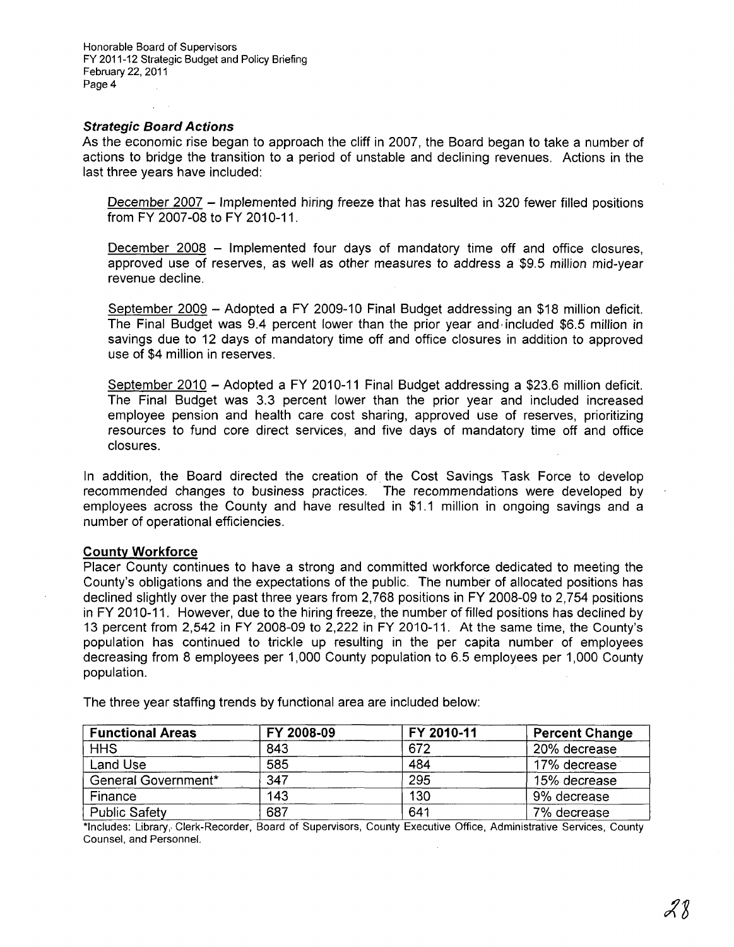#### **Strategic Board Actions**

As the economic rise began to approach the cliff in 2007, the Board began to take a number of actions to bridge the transition to a period of unstable and declining revenues. Actions in the last three years have included:

December 2007 - Implemented hiring freeze that has resulted in 320 fewer filled positions from FY 2007-08 to FY 2010-11.

December 2008 – Implemented four days of mandatory time off and office closures, approved use of reserves, as well as other measures to address a \$9.5 million mid-year revenue decline.

September 2009 - Adopted a FY 2009-10 Final Budget addressing an \$18 million deficit. The Final Budget was 9.4 percent lower than the prior year and, included \$6.5 million in savings due to 12 days of mandatory time off and office closures in addition to approved use of \$4 million in reserves.

September 2010 - Adopted a FY 2010-11 Final Budget addressing a \$23.6 million deficit. The Final Budget was 3.3 percent lower than the prior year and included increased employee pension and health care cost sharing, approved use of reserves, prioritizing resources to fund core direct services, and five days of mandatory time off and office closures.

In addition, the Board directed the creation of the Cost Savings Task Force to develop recommended changes to business practices. The recommendations were developed by employees across the County and have resulted in \$1.1 million in ongoing savings and a number of operational efficiencies.

#### **County Workforce**

Placer County continues to have a strong and committed workforce dedicated to meeting the County's obligations and the expectations of the public. The number of allocated positions has declined slightly over the past three years from 2,768 positions in FY 2008-09 to 2,754 positions in FY 2010-11. However, due to the hiring freeze, the number of filled positions has declined by 13 percent from 2,542 in FY 2008-09 to 2,222 in FY 2010-11. At the same time, the County's population has continued to trickle up resulting in the per capita number of employees decreasing from 8 employees per 1,000 County population to 6.5 employees per 1,000 County population.

| <b>Functional Areas</b> | FY 2008-09 | FY 2010-11 | <b>Percent Change</b> |
|-------------------------|------------|------------|-----------------------|
| <b>HHS</b>              | 843        | 672        | 20% decrease          |
| Land Use                | 585        | 484        | 17% decrease          |
| General Government*     | 347        | 295        | 15% decrease          |
| Finance                 | 143        | 130        | 9% decrease           |
| Public Safety           | 687        | 641        | 7% decrease           |

The three year staffing trends by functional area are included below:

\*Includes: Library, Clerk-Recorder, Board of Supervisors, County Executive Office, Administrative Services, County Counsel, and Personnel.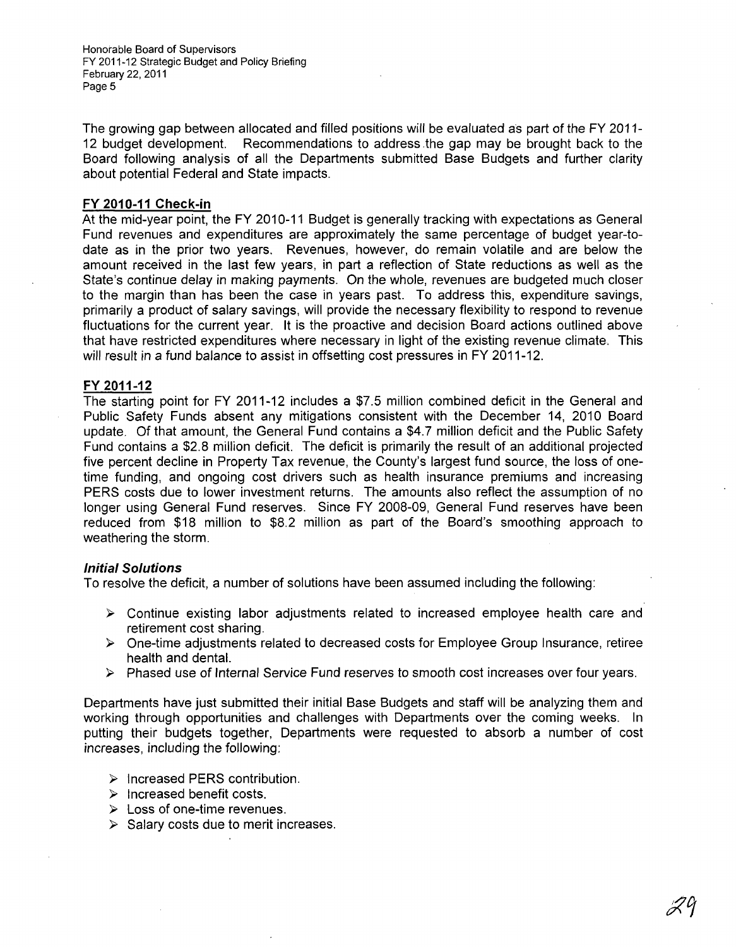The growing gap between allocated and filled positions will be evaluated as part of the FY 2011- 12 budget development. Recommendations to address the gap may be brought back to the Board following analysis of all the Departments submitted Base Budgets and further clarity about potential Federal and State impacts.

#### FY 2010-11 Check-in

At the mid-year point, the FY 2010-11 Budget is generally tracking with expectations as General Fund revenues and expenditures are approximately the same percentage of budget year-todate as in the prior two years. Revenues, however, do remain volatile and are below the amount received in the last few years, in part a reflection of State reductions as well as the State's continue delay in making payments. On the whole, revenues are budgeted much closer to the margin than has been the case in years past. To address this, expenditure savings, primarily a product of salary savings, will provide the necessary flexibility to respond to revenue fluctuations for the current year. It is the proactive and decision Board actions outlined above that have restricted expenditures where necessary in light of the existing revenue climate. This will result in a fund balance to assist in offsetting cost pressures in FY 2011-12.

#### FY 2011-12

The starting point for FY 2011-12 includes a \$7.5 million combined deficit in the General and Public Safety Funds absent any mitigations consistent with the December 14, 2010 Board update. Of that amount, the General Fund contains a \$4.7 million deficit and the Public Safety Fund contains a \$2.8 million deficit. The deficit is primarily the result of an additional projected five percent decline in Property Tax revenue, the County's largest fund source, the loss of onetime funding, and ongoing cost drivers such as health insurance premiums and increasing PERS costs due to lower investment returns. The amounts also reflect the assumption of no longer using General Fund reserves. Since FY 2008-09, General Fund reserves have been reduced from \$18 million to \$8.2 million as part of the Board's smoothing approach to weathering the storm.

#### Initial Solutions

To resolve the deficit, a number of solutions have been assumed including the following:

- $\triangleright$  Continue existing labor adjustments related to increased employee health care and retirement cost sharing.
- $\triangleright$  One-time adjustments related to decreased costs for Employee Group Insurance, retiree health and dental.
- > Phased use of Internal Service Fund reserves to smooth cost increases over four years.

Departments have just submitted their initial Base Budgets and staff will be analyzing them and working through opportunities and challenges with Departments over the coming weeks. In putting their budgets together, Departments were requested to absorb a number of cost increases, including the following:

- > Increased PERS contribution.
- > Increased benefit costs.
- $\triangleright$  Loss of one-time revenues.
- $\triangleright$  Salary costs due to merit increases.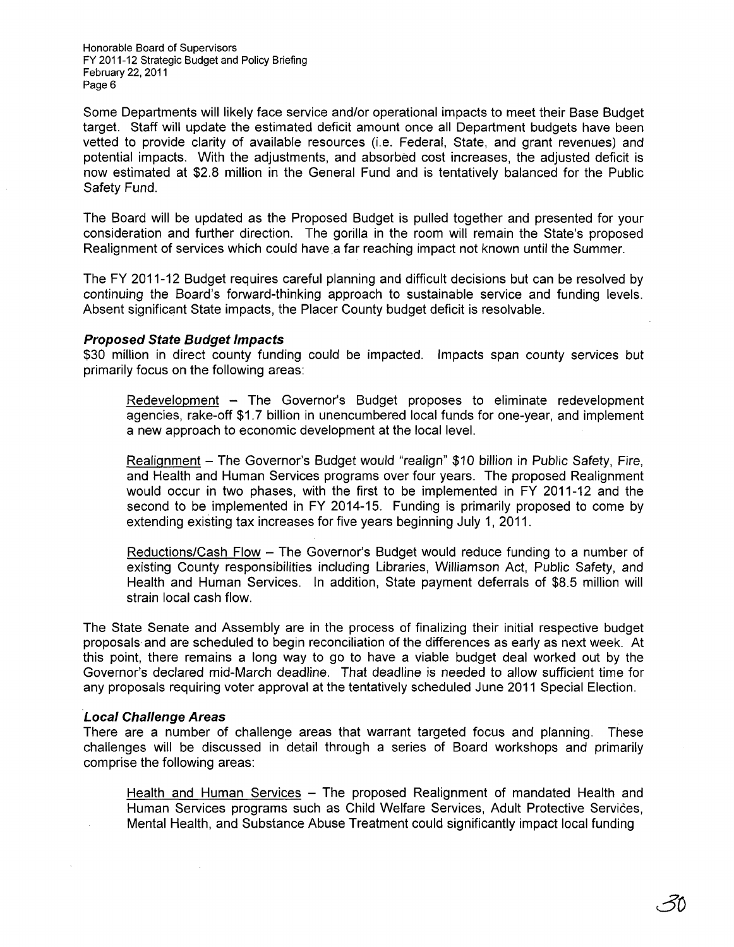Some Departments will likely face service and/or operational impacts to meet their Base Budget target. Staff will update the estimated deficit amount once all Department budgets have been vetted to provide clarity of available resources (i.e. Federal, State, and grant revenues) and potential impacts. With the adjustments, and absorbed cost increases, the adjusted deficit is now estimated at \$2.8 million in the General Fund and is tentatively balanced for the Public Safety Fund.

The Board will be updated as the Proposed Budget is pulled together and presented for your consideration and further direction. The gorilla in the room will remain the State's proposed Realignment of services which could have.a far reaching impact not known until the Summer.

The FY 2011-12 Budget requires careful planning and difficult decisions but can be resolved by continuing the Board's forward-thinking approach to sustainable service and funding levels. Absent significant State impacts, the Placer County budget deficit is resolvable.

#### **Proposed State Budget Impacts**

\$30 million in direct county funding could be impacted. Impacts span county services but primarily focus on the following areas:

Redevelopment - The Governor's Budget proposes to eliminate redevelopment agencies, rake-off \$1.7 billion in unencumbered local funds for one-year, and implement a new approach to economic development at the local level.

Realignment - The Governor's Budget would "realign" \$10 billion in Public Safety, Fire, and Health and Human Services programs over four years. The proposed Realignment would occur in two phases, with the first to be implemented in FY 2011-12 and the second to be implemented in FY 2014-15. Funding is primarily proposed to come by extending existing tax increases for five years beginning July 1, 2011.

Reductions/Cash Flow - The Governor's Budget would reduce funding to a number of existing County responsibilities including Libraries, Williamson Act, Public Safety, and Health and Human Services. In addition, State payment deferrals of \$8.5 million will strain local cash flow.

The State Senate and Assembly are in the process of finalizing their initial respective budget proposals and are scheduled to begin reconciliation of the differences as early as next week. At this point, there remains a long way to go to have a viable budget deal worked out by the Governor's declared mid-March deadline. That deadline is needed to allow sufficient time for any proposals requiring voter approval at the tentatively scheduled June 2011 Special Election.

#### **Local Challenge Areas**

There are a number of challenge areas that warrant targeted focus and planning. These challenges will be discussed in detail through a series of Board workshops and primarily comprise the following areas:

Health and Human Services - The proposed Realignment of mandated Health and Human Services programs such as Child Welfare Services, Adult Protective Services, Mental Health, and Substance Abuse Treatment could significantly impact local funding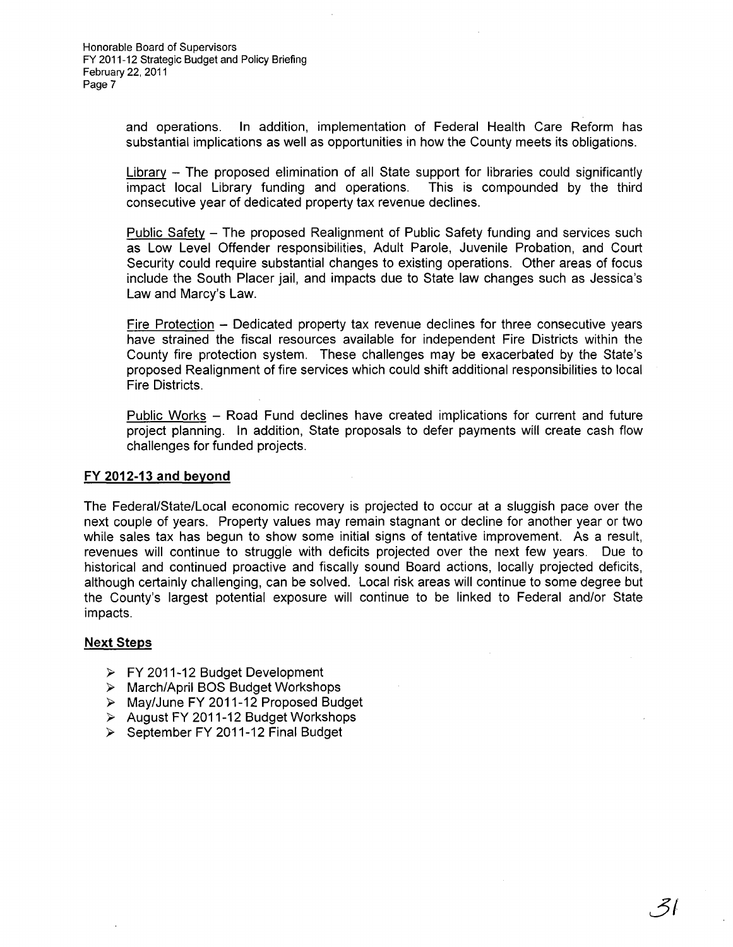> and operations. In addition, implementation of Federal Health Care Reform has substantial implications as well as opportunities in how the County meets its obligations.

> Library - The proposed elimination of all State support for libraries could significantly impact local Library funding and operations. This is compounded by the third consecutive year of dedicated property tax revenue declines.

> Public Safety - The proposed Realignment of Public Safety funding and services such as Low Level Offender responsibilities, Adult Parole, Juvenile Probation, and Court Security could require substantial changes to existing operations. Other areas of focus include the South Placer jail, and impacts due to State law changes such as Jessica's Law and Marcy's Law.

> Fire Protection  $-$  Dedicated property tax revenue declines for three consecutive years have strained the fiscal resources available for independent Fire Districts within the County fire protection system. These challenges may be exacerbated by the State's proposed Realignment of fire services which could shift additional responsibilities to local Fire Districts.

> Public Works - Road Fund declines have created implications for current and future project planning. In addition, State proposals to defer payments will create cash flow challenges for funded projects.

#### **FY 2012-13 and beyond**

The Federal/State/Local economic recovery is projected to occur at a sluggish pace over the next couple of years. Property values may remain stagnant or decline for another year or two while sales tax has begun to show some initial signs of tentative improvement. As a result, revenues will continue to struggle with deficits projected over the next few years. Due to historical and continued proactive and fiscally sound Board actions, locally projected deficits, although certainly challenging, can be solved. Local risk areas will continue to some degree but the County's largest potential exposure will continue to be linked to Federal and/or State impacts.

#### **Next Steps**

- $\triangleright$  FY 2011-12 Budget Development
- > March/April BOS Budget Workshops
- <sup>~</sup>May/June FY 2011-12 Proposed Budget
- $\triangleright$  August FY 2011-12 Budget Workshops
- $\geq$  September FY 2011-12 Final Budget